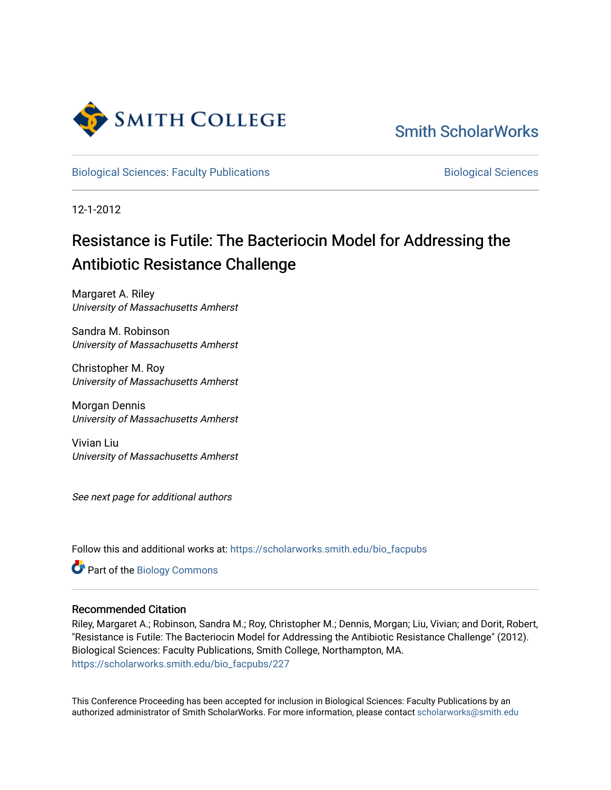

[Smith ScholarWorks](https://scholarworks.smith.edu/) 

[Biological Sciences: Faculty Publications](https://scholarworks.smith.edu/bio_facpubs) **Biological Sciences** Biological Sciences

12-1-2012

## Resistance is Futile: The Bacteriocin Model for Addressing the Antibiotic Resistance Challenge

Margaret A. Riley University of Massachusetts Amherst

Sandra M. Robinson University of Massachusetts Amherst

Christopher M. Roy University of Massachusetts Amherst

Morgan Dennis University of Massachusetts Amherst

Vivian Liu University of Massachusetts Amherst

See next page for additional authors

Follow this and additional works at: [https://scholarworks.smith.edu/bio\\_facpubs](https://scholarworks.smith.edu/bio_facpubs?utm_source=scholarworks.smith.edu%2Fbio_facpubs%2F227&utm_medium=PDF&utm_campaign=PDFCoverPages)

Part of the [Biology Commons](http://network.bepress.com/hgg/discipline/41?utm_source=scholarworks.smith.edu%2Fbio_facpubs%2F227&utm_medium=PDF&utm_campaign=PDFCoverPages) 

#### Recommended Citation

Riley, Margaret A.; Robinson, Sandra M.; Roy, Christopher M.; Dennis, Morgan; Liu, Vivian; and Dorit, Robert, "Resistance is Futile: The Bacteriocin Model for Addressing the Antibiotic Resistance Challenge" (2012). Biological Sciences: Faculty Publications, Smith College, Northampton, MA. [https://scholarworks.smith.edu/bio\\_facpubs/227](https://scholarworks.smith.edu/bio_facpubs/227?utm_source=scholarworks.smith.edu%2Fbio_facpubs%2F227&utm_medium=PDF&utm_campaign=PDFCoverPages)

This Conference Proceeding has been accepted for inclusion in Biological Sciences: Faculty Publications by an authorized administrator of Smith ScholarWorks. For more information, please contact [scholarworks@smith.edu](mailto:scholarworks@smith.edu)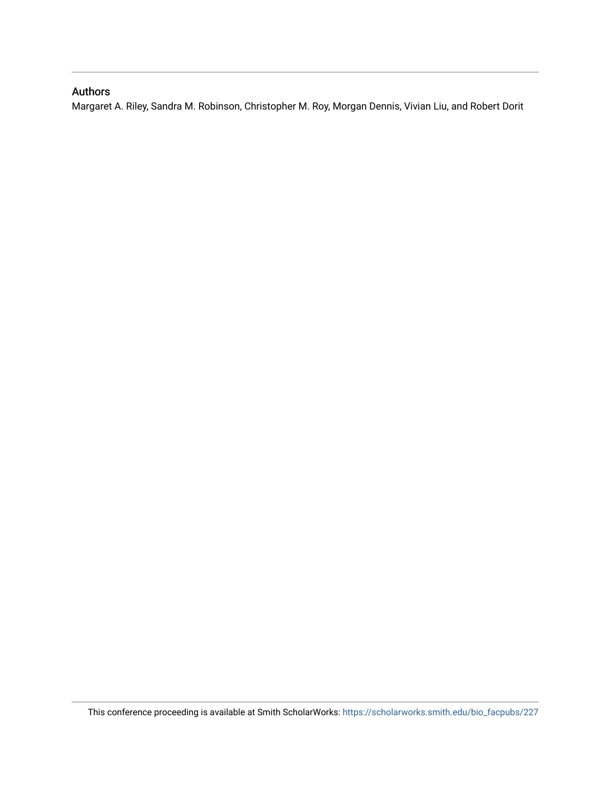#### Authors

Margaret A. Riley, Sandra M. Robinson, Christopher M. Roy, Morgan Dennis, Vivian Liu, and Robert Dorit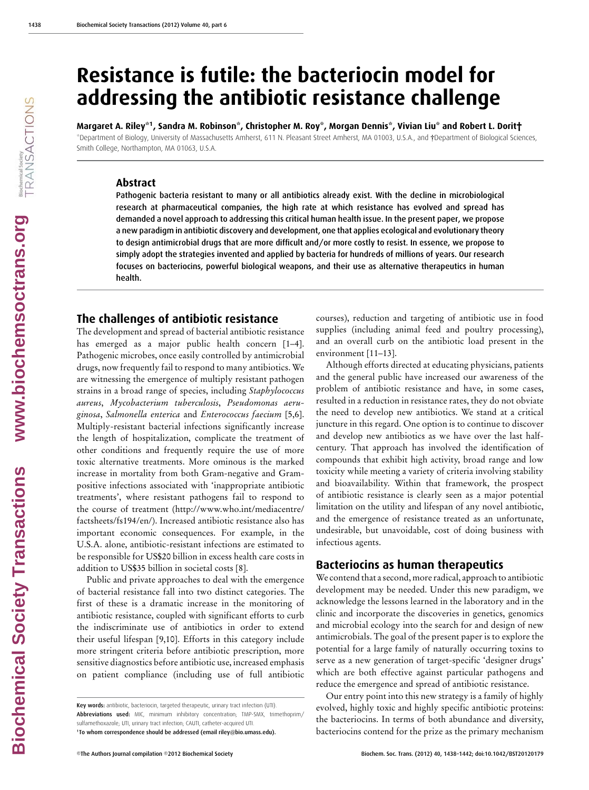# **Resistance is futile: the bacteriocin model for addressing the antibiotic resistance challenge**

**Margaret A. Riley\*1, Sandra M. Robinson\*, Christopher M. Roy\*, Morgan Dennis\*, Vivian Liu\* and Robert L. Dorit†**

\*Department of Biology, University of Massachusetts Amherst, 611 N. Pleasant Street Amherst, MA 01003, U.S.A., and †Department of Biological Sciences, Smith College, Northampton, MA 01063, U.S.A.

#### **Abstract**

Pathogenic bacteria resistant to many or all antibiotics already exist. With the decline in microbiological research at pharmaceutical companies, the high rate at which resistance has evolved and spread has demanded a novel approach to addressing this critical human health issue. In the present paper, we propose a new paradigm in antibiotic discovery and development, one that applies ecological and evolutionary theory to design antimicrobial drugs that are more difficult and/or more costly to resist. In essence, we propose to simply adopt the strategies invented and applied by bacteria for hundreds of millions of years. Our research focuses on bacteriocins, powerful biological weapons, and their use as alternative therapeutics in human health.

#### **The challenges of antibiotic resistance**

The development and spread of bacterial antibiotic resistance has emerged as a major public health concern [\[1–](#page-5-0)[4\]](#page-5-1). Pathogenic microbes, once easily controlled by antimicrobial drugs, now frequently fail to respond to many antibiotics. We are witnessing the emergence of multiply resistant pathogen strains in a broad range of species, including *Staphylococcus aureus*, *Mycobacterium tuberculosis*, *Pseudomonas aeruginosa*, *Salmonella enterica* and *Enterococcus faecium* [\[5,](#page-5-2)[6\]](#page-5-3). Multiply-resistant bacterial infections significantly increase the length of hospitalization, complicate the treatment of other conditions and frequently require the use of more toxic alternative treatments. More ominous is the marked increase in mortality from both Gram-negative and Grampositive infections associated with 'inappropriate antibiotic treatments', where resistant pathogens fail to respond to the course of treatment [\(http://www.who.int/mediacentre/](http://www.who.int/mediacentre/factsheets/fs194/en/) [factsheets/fs194/en/\)](http://www.who.int/mediacentre/factsheets/fs194/en/). Increased antibiotic resistance also has important economic consequences. For example, in the U.S.A. alone, antibiotic-resistant infections are estimated to be responsible for US\$20 billion in excess health care costs in addition to US\$35 billion in societal costs [\[8\]](#page-5-4).

Public and private approaches to deal with the emergence of bacterial resistance fall into two distinct categories. The first of these is a dramatic increase in the monitoring of antibiotic resistance, coupled with significant efforts to curb the indiscriminate use of antibiotics in order to extend their useful lifespan [\[9](#page-5-5)[,10\]](#page-5-6). Efforts in this category include more stringent criteria before antibiotic prescription, more sensitive diagnostics before antibiotic use, increased emphasis on patient compliance (including use of full antibiotic courses), reduction and targeting of antibiotic use in food supplies (including animal feed and poultry processing), and an overall curb on the antibiotic load present in the environment [\[11](#page-5-7)[–13\]](#page-5-8).

Although efforts directed at educating physicians, patients and the general public have increased our awareness of the problem of antibiotic resistance and have, in some cases, resulted in a reduction in resistance rates, they do not obviate the need to develop new antibiotics. We stand at a critical juncture in this regard. One option is to continue to discover and develop new antibiotics as we have over the last halfcentury. That approach has involved the identification of compounds that exhibit high activity, broad range and low toxicity while meeting a variety of criteria involving stability and bioavailability. Within that framework, the prospect of antibiotic resistance is clearly seen as a major potential limitation on the utility and lifespan of any novel antibiotic, and the emergence of resistance treated as an unfortunate, undesirable, but unavoidable, cost of doing business with infectious agents.

#### **Bacteriocins as human therapeutics**

We contend that a second, more radical, approach to antibiotic development may be needed. Under this new paradigm, we acknowledge the lessons learned in the laboratory and in the clinic and incorporate the discoveries in genetics, genomics and microbial ecology into the search for and design of new antimicrobials. The goal of the present paper is to explore the potential for a large family of naturally occurring toxins to serve as a new generation of target-specific 'designer drugs' which are both effective against particular pathogens and reduce the emergence and spread of antibiotic resistance.

Our entry point into this new strategy is a family of highly evolved, highly toxic and highly specific antibiotic proteins: the bacteriocins. In terms of both abundance and diversity, bacteriocins contend for the prize as the primary mechanism

Key words: antibiotic, bacteriocin, targeted therapeutic, urinary tract infection (UTI). Abbreviations used: MIC, minimum inhibitory concentration: TMP-SMX, trimethoprim/ sulfamethoxazole; UTI, urinary tract infection; CAUTI, catheter-acquired UTI. <sup>1</sup> To whom correspondence should be addressed (email riley@bio.umass.edu).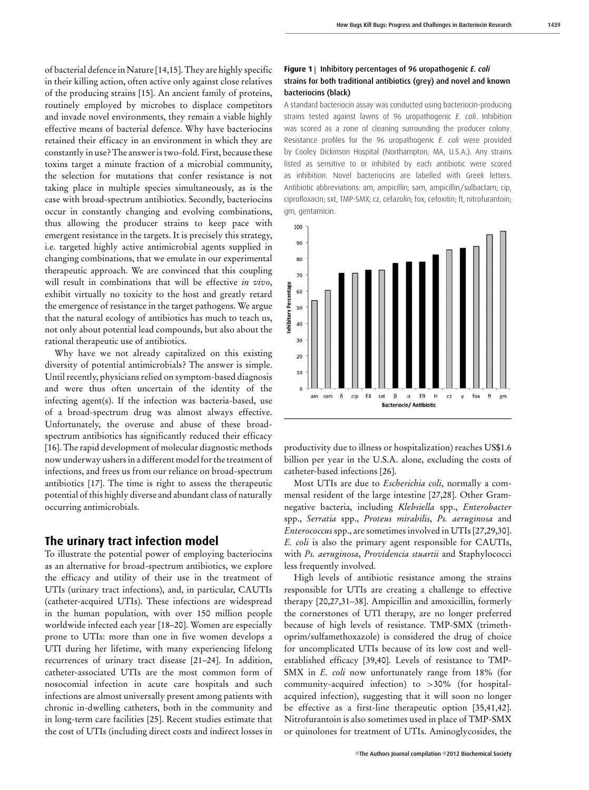of bacterial defence in Nature [\[14,](#page-5-9)[15\]](#page-5-10). They are highly specific in their killing action, often active only against close relatives of the producing strains [\[15\]](#page-5-10). An ancient family of proteins, routinely employed by microbes to displace competitors and invade novel environments, they remain a viable highly effective means of bacterial defence. Why have bacteriocins retained their efficacy in an environment in which they are constantly in use? The answer is two-fold. First, because these toxins target a minute fraction of a microbial community, the selection for mutations that confer resistance is not taking place in multiple species simultaneously, as is the case with broad-spectrum antibiotics. Secondly, bacteriocins occur in constantly changing and evolving combinations, thus allowing the producer strains to keep pace with emergent resistance in the targets. It is precisely this strategy, i.e. targeted highly active antimicrobial agents supplied in changing combinations, that we emulate in our experimental therapeutic approach. We are convinced that this coupling will result in combinations that will be effective *in vivo*, exhibit virtually no toxicity to the host and greatly retard the emergence of resistance in the target pathogens. We argue that the natural ecology of antibiotics has much to teach us, not only about potential lead compounds, but also about the rational therapeutic use of antibiotics.

Why have we not already capitalized on this existing diversity of potential antimicrobials? The answer is simple. Until recently, physicians relied on symptom-based diagnosis and were thus often uncertain of the identity of the infecting agent(s). If the infection was bacteria-based, use of a broad-spectrum drug was almost always effective. Unfortunately, the overuse and abuse of these broadspectrum antibiotics has significantly reduced their efficacy [\[16\]](#page-5-11). The rapid development of molecular diagnostic methods now underway ushers in a different model for the treatment of infections, and frees us from our reliance on broad-spectrum antibiotics [\[17\]](#page-5-12). The time is right to assess the therapeutic potential of this highly diverse and abundant class of naturally occurring antimicrobials.

#### **The urinary tract infection model**

To illustrate the potential power of employing bacteriocins as an alternative for broad-spectrum antibiotics, we explore the efficacy and utility of their use in the treatment of UTIs (urinary tract infections), and, in particular, CAUTIs (catheter-acquired UTIs). These infections are widespread in the human population, with over 150 million people worldwide infected each year [\[18–](#page-5-13)[20\]](#page-5-14). Women are especially prone to UTIs: more than one in five women develops a UTI during her lifetime, with many experiencing lifelong recurrences of urinary tract disease [\[21](#page-5-15)[–24\]](#page-5-16). In addition, catheter-associated UTIs are the most common form of nosocomial infection in acute care hospitals and such infections are almost universally present among patients with chronic in-dwelling catheters, both in the community and in long-term care facilities [\[25\]](#page-5-17). Recent studies estimate that the cost of UTIs (including direct costs and indirect losses in

#### <span id="page-3-0"></span>**Figure 1** Inhibitory percentages of 96 uropathogenic *E. coli* strains for both traditional antibiotics (grey) and novel and known bacteriocins (black)

A standard bacteriocin assay was conducted using bacteriocin-producing strains tested against lawns of 96 uropathogenic *E. coli*. Inhibition was scored as a zone of cleaning surrounding the producer colony. Resistance profiles for the 96 uropathogenic *E. coli* were provided by Cooley Dickinson Hospital (Northampton, MA, U.S.A.). Any strains listed as sensitive to or inhibited by each antibiotic were scored as inhibition. Novel bacteriocins are labelled with Greek letters. Antibiotic abbreviations: am, ampicillin; sam, ampicillin/sulbactam; cip, ciprofloxacin; sxt, TMP-SMX; cz, cefazolin; fox, cefoxitin; ft, nitrofurantoin; gm, gentamicin.



productivity due to illness or hospitalization) reaches US\$1.6 billion per year in the U.S.A. alone, excluding the costs of catheter-based infections [\[26\]](#page-5-18).

Most UTIs are due to *Escherichia coli*, normally a commensal resident of the large intestine [\[27,](#page-5-19)[28\]](#page-5-20). Other Gramnegative bacteria, including *Klebsiella* spp., *Enterobacter* spp., *Serratia* spp., *Proteus mirabilis*, *Ps. aeruginosa* and *Enterococcus*spp., are sometimes involved in UTIs [\[27](#page-5-19)[,29](#page-5-21)[,30\]](#page-5-22). *E. coli* is also the primary agent responsible for CAUTIs, with *Ps. aeruginosa*, *Providencia stuartii* and Staphylococci less frequently involved.

High levels of antibiotic resistance among the strains responsible for UTIs are creating a challenge to effective therapy [\[20,](#page-5-14)[27,](#page-5-19)[31–](#page-5-23)[38\]](#page-6-0). Ampicillin and amoxicillin, formerly the cornerstones of UTI therapy, are no longer preferred because of high levels of resistance. TMP-SMX (trimethoprim/sulfamethoxazole) is considered the drug of choice for uncomplicated UTIs because of its low cost and wellestablished efficacy [\[39](#page-6-1)[,40\]](#page-6-2). Levels of resistance to TMP-SMX in *E. coli* now unfortunately range from 18% (for community-acquired infection) to >30% (for hospitalacquired infection), suggesting that it will soon no longer be effective as a first-line therapeutic option [\[35](#page-6-3)[,41](#page-6-4)[,42\]](#page-6-5). Nitrofurantoin is also sometimes used in place of TMP-SMX or quinolones for treatment of UTIs. Aminoglycosides, the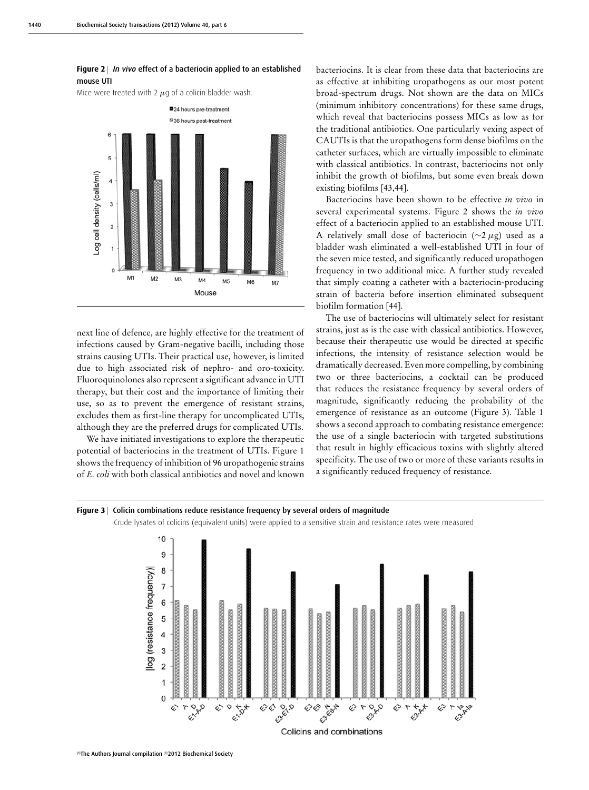<span id="page-4-0"></span>

Mice were treated with 2  $\mu$ g of a colicin bladder wash.



next line of defence, are highly effective for the treatment of infections caused by Gram-negative bacilli, including those strains causing UTIs. Their practical use, however, is limited due to high associated risk of nephro- and oro-toxicity. Fluoroquinolones also represent a significant advance in UTI therapy, but their cost and the importance of limiting their use, so as to prevent the emergence of resistant strains, excludes them as first-line therapy for uncomplicated UTIs, although they are the preferred drugs for complicated UTIs.

We have initiated investigations to explore the therapeutic potential of bacteriocins in the treatment of UTIs. [Figure 1](#page-3-0) shows the frequency of inhibition of 96 uropathogenic strains of *E. coli* with both classical antibiotics and novel and known

bacteriocins. It is clear from these data that bacteriocins are as effective at inhibiting uropathogens as our most potent broad-spectrum drugs. Not shown are the data on MICs (minimum inhibitory concentrations) for these same drugs, which reveal that bacteriocins possess MICs as low as for the traditional antibiotics. One particularly vexing aspect of CAUTIs is that the uropathogens form dense biofilms on the catheter surfaces, which are virtually impossible to eliminate with classical antibiotics. In contrast, bacteriocins not only inhibit the growth of biofilms, but some even break down existing biofilms [\[43](#page-6-6)[,44\]](#page-6-7).

Bacteriocins have been shown to be effective *in vivo* in several experimental systems. [Figure 2](#page-4-0) shows the *in vivo* effect of a bacteriocin applied to an established mouse UTI. A relatively small dose of bacteriocin ( $\sim$ 2 µg) used as a bladder wash eliminated a well-established UTI in four of the seven mice tested, and significantly reduced uropathogen frequency in two additional mice. A further study revealed that simply coating a catheter with a bacteriocin-producing strain of bacteria before insertion eliminated subsequent biofilm formation [\[44\]](#page-6-7).

The use of bacteriocins will ultimately select for resistant strains, just as is the case with classical antibiotics. However, because their therapeutic use would be directed at specific infections, the intensity of resistance selection would be dramatically decreased. Even more compelling, by combining two or three bacteriocins, a cocktail can be produced that reduces the resistance frequency by several orders of magnitude, significantly reducing the probability of the emergence of resistance as an outcome [\(Figure 3\)](#page-4-1). [Table 1](#page-5-24) shows a second approach to combating resistance emergence: the use of a single bacteriocin with targeted substitutions that result in highly efficacious toxins with slightly altered specificity. The use of two or more of these variants results in a significantly reduced frequency of resistance.

### <span id="page-4-1"></span>Figure 3 | Colicin combinations reduce resistance frequency by several orders of magnitude Crude lysates of colicins (equivalent units) were applied to a sensitive strain and resistance rates were measured

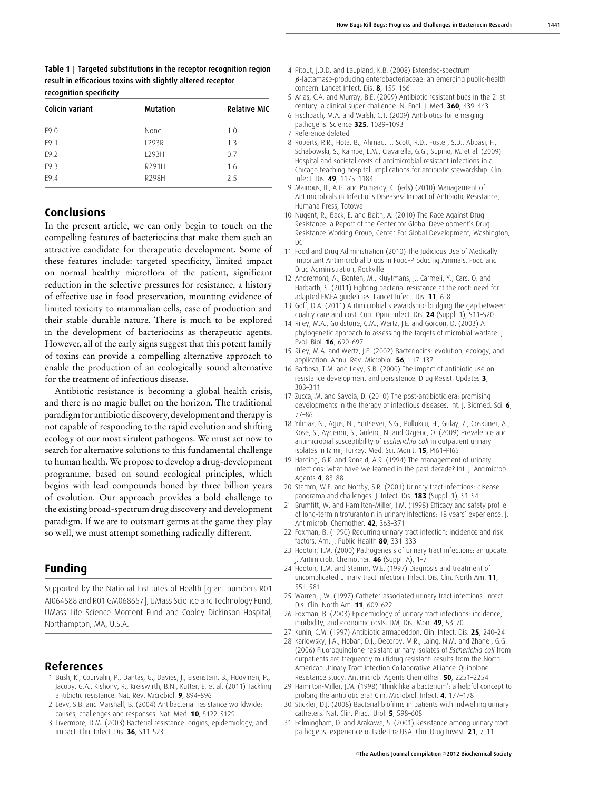<span id="page-5-24"></span>**Table 1** Targeted substitutions in the receptor recognition region result in efficacious toxins with slightly altered receptor recognition specificity

| Colicin variant | Mutation           | <b>Relative MIC</b> |
|-----------------|--------------------|---------------------|
| E9.0            | None               | 1.0                 |
| F9.1            | 1293R              | 1.3                 |
| F9.2            | L293H              | 0.7                 |
| F9.3            | R <sub>291</sub> H | 1.6                 |
| E9.4            | <b>R298H</b>       | 2.5                 |

#### **Conclusions**

In the present article, we can only begin to touch on the compelling features of bacteriocins that make them such an attractive candidate for therapeutic development. Some of these features include: targeted specificity, limited impact on normal healthy microflora of the patient, significant reduction in the selective pressures for resistance, a history of effective use in food preservation, mounting evidence of limited toxicity to mammalian cells, ease of production and their stable durable nature. There is much to be explored in the development of bacteriocins as therapeutic agents. However, all of the early signs suggest that this potent family of toxins can provide a compelling alternative approach to enable the production of an ecologically sound alternative for the treatment of infectious disease.

Antibiotic resistance is becoming a global health crisis, and there is no magic bullet on the horizon. The traditional paradigm for antibiotic discovery, development and therapy is not capable of responding to the rapid evolution and shifting ecology of our most virulent pathogens. We must act now to search for alternative solutions to this fundamental challenge to human health. We propose to develop a drug-development programme, based on sound ecological principles, which begins with lead compounds honed by three billion years of evolution. Our approach provides a bold challenge to the existing broad-spectrum drug discovery and development paradigm. If we are to outsmart germs at the game they play so well, we must attempt something radically different.

#### **Funding**

Supported by the National Institutes of Health [grant numbers R01 AI064588 and R01 GM068657], UMass Science and Technology Fund, UMass Life Science Moment Fund and Cooley Dickinson Hospital, Northampton, MA, U.S.A.

#### **References**

- <span id="page-5-0"></span>1 Bush, K., Courvalin, P., Dantas, G., Davies, J., Eisenstein, B., Huovinen, P., Jacoby, G.A., Kishony, R., Kreiswirth, B.N., Kutter, E. et al. (2011) Tackling antibiotic resistance. Nat. Rev. Microbiol. **9**, 894–896
- 2 Levy, S.B. and Marshall, B. (2004) Antibacterial resistance worldwide: causes, challenges and responses. Nat. Med. **10**, S122–S129
- 3 Livermore, D.M. (2003) Bacterial resistance: origins, epidemiology, and impact. Clin. Infect. Dis. **36**, S11–S23
- <span id="page-5-1"></span>4 Pitout, J.D.D. and Laupland, K.B. (2008) Extended-spectrum  $\beta$ -lactamase-producing enterobacteriaceae: an emerging public-health concern. Lancet Infect. Dis. **8**, 159–166
- <span id="page-5-2"></span>5 Arias, C.A. and Murray, B.E. (2009) Antibiotic-resistant bugs in the 21st century: a clinical super-challenge. N. Engl. J. Med. **360**, 439–443
- <span id="page-5-3"></span>6 Fischbach, M.A. and Walsh, C.T. (2009) Antibiotics for emerging pathogens. Science **325**, 1089–1093
- 7 Reference deleted
- <span id="page-5-4"></span>8 Roberts, R.R., Hota, B., Ahmad, I., Scott, R.D., Foster, S.D., Abbasi, F., Schabowski, S., Kampe, L.M., Ciavarella, G.G., Supino, M. et al. (2009) Hospital and societal costs of antimicrobial-resistant infections in a Chicago teaching hospital: implications for antibiotic stewardship. Clin. Infect. Dis. **49**, 1175–1184
- <span id="page-5-5"></span>9 Mainous, III, A.G. and Pomeroy, C. (eds) (2010) Management of Antimicrobials in Infectious Diseases: Impact of Antibiotic Resistance, Humana Press, Totowa
- <span id="page-5-6"></span>10 Nugent, R., Back, E. and Beith, A. (2010) The Race Against Drug Resistance: a Report of the Center for Global Development's Drug Resistance Working Group, Center For Global Development, Washington, DC
- <span id="page-5-7"></span>11 Food and Drug Administration (2010) The Judicious Use of Medically Important Antimicrobial Drugs in Food-Producing Animals, Food and Drug Administration, Rockville
- 12 Andremont, A., Bonten, M., Kluytmans, J., Carmeli, Y., Cars, O. and Harbarth, S. (2011) Fighting bacterial resistance at the root: need for adapted EMEA guidelines. Lancet Infect. Dis. **11**, 6–8
- <span id="page-5-8"></span>13 Goff, D.A. (2011) Antimicrobial stewardship: bridging the gap between quality care and cost. Curr. Opin. Infect. Dis. **24** (Suppl. 1), S11–S20
- <span id="page-5-9"></span>14 Riley, M.A., Goldstone, C.M., Wertz, J.E. and Gordon, D. (2003) A phylogenetic approach to assessing the targets of microbial warfare. J. Evol. Biol. **16**, 690–697
- <span id="page-5-10"></span>15 Riley, M.A. and Wertz, J.E. (2002) Bacteriocins: evolution, ecology, and application. Annu. Rev. Microbiol. **56**, 117–137
- <span id="page-5-11"></span>16 Barbosa, T.M. and Levy, S.B. (2000) The impact of antibiotic use on resistance development and persistence. Drug Resist. Updates **3**, 303–311
- <span id="page-5-12"></span>17 Zucca, M. and Savoia, D. (2010) The post-antibiotic era: promising developments in the therapy of infectious diseases. Int. J. Biomed. Sci. **6**, 77–86
- <span id="page-5-13"></span>18 Yilmaz, N., Agus, N., Yurtsever, S.G., Pullukcu, H., Gulay, Z., Coskuner, A., Kose, S., Aydemir, S., Gulenc, N. and Ozgenc, O. (2009) Prevalence and antimicrobial susceptibility of *Escherichia coli* in outpatient urinary isolates in Izmir, Turkey. Med. Sci. Monit. **15**, PI61–PI65
- 19 Harding, G.K. and Ronald, A.R. (1994) The management of urinary infections: what have we learned in the past decade? Int. J. Antimicrob. Agents **4**, 83–88
- <span id="page-5-14"></span>20 Stamm, W.E. and Norrby, S.R. (2001) Urinary tract infections: disease panorama and challenges. J. Infect. Dis. **183** (Suppl. 1), S1–S4
- <span id="page-5-15"></span>21 Brumfitt, W. and Hamilton-Miller, J.M. (1998) Efficacy and safety profile of long-term nitrofurantoin in urinary infections: 18 years' experience. J. Antimicrob. Chemother. **42**, 363–371
- 22 Foxman, B. (1990) Recurring urinary tract infection: incidence and risk factors. Am. J. Public Health **80**, 331–333
- 23 Hooton, T.M. (2000) Pathogenesis of urinary tract infections: an update. J. Antimicrob. Chemother. **46** (Suppl. A), 1–7
- <span id="page-5-16"></span>24 Hooton, T.M. and Stamm, W.E. (1997) Diagnosis and treatment of uncomplicated urinary tract infection. Infect. Dis. Clin. North Am. **11**, 551–581
- <span id="page-5-17"></span>25 Warren, J.W. (1997) Catheter-associated urinary tract infections. Infect. Dis. Clin. North Am. **11**, 609–622
- <span id="page-5-18"></span>26 Foxman, B. (2003) Epidemiology of urinary tract infections: incidence, morbidity, and economic costs. DM, Dis.-Mon. **49**, 53–70
- <span id="page-5-19"></span>27 Kunin, C.M. (1997) Antibiotic armageddon. Clin. Infect. Dis. **25**, 240–241 28 Karlowsky, J.A., Hoban, D.J., Decorby, M.R., Laing, N.M. and Zhanel, G.G.
- <span id="page-5-20"></span>(2006) Fluoroquinolone-resistant urinary isolates of *Escherichia coli* from outpatients are frequently multidrug resistant: results from the North American Urinary Tract Infection Collaborative Alliance–Quinolone Resistance study. Antimicrob. Agents Chemother. **50**, 2251–2254
- <span id="page-5-21"></span>29 Hamilton-Miller, J.M. (1998) 'Think like a bacterium': a helpful concept to prolong the antibiotic era? Clin. Microbiol. Infect. **4**, 177–178
- <span id="page-5-22"></span>30 Stickler, D.J. (2008) Bacterial biofilms in patients with indwelling urinary catheters. Nat. Clin. Pract. Urol. **5**, 598–608
- <span id="page-5-23"></span>31 Felmingham, D. and Arakawa, S. (2001) Resistance among urinary tract pathogens: experience outside the USA. Clin. Drug Invest. **21**, 7–11